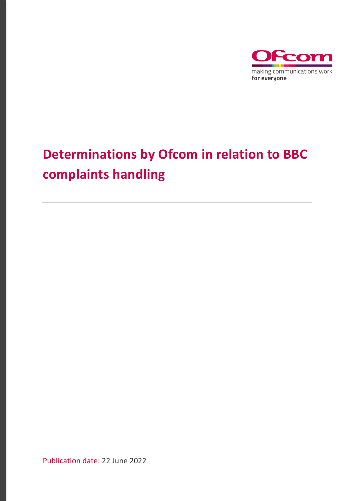

# **Determinations by Ofcom in relation to BBC complaints handling**

Publication date: 22 June 2022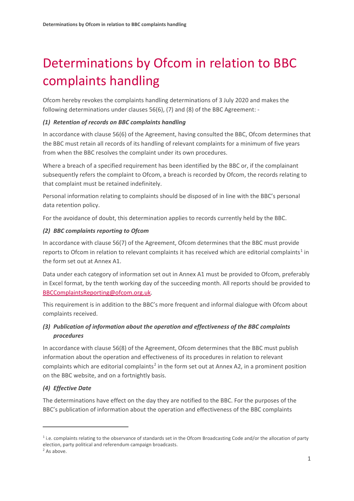# Determinations by Ofcom in relation to BBC complaints handling

Ofcom hereby revokes the complaints handling determinations of 3 July 2020 and makes the following determinations under clauses 56(6), (7) and (8) of the BBC Agreement: -

### *(1) Retention of records on BBC complaints handling*

In accordance with clause 56(6) of the Agreement, having consulted the BBC, Ofcom determines that the BBC must retain all records of its handling of relevant complaints for a minimum of five years from when the BBC resolves the complaint under its own procedures.

Where a breach of a specified requirement has been identified by the BBC or, if the complainant subsequently refers the complaint to Ofcom, a breach is recorded by Ofcom, the records relating to that complaint must be retained indefinitely.

Personal information relating to complaints should be disposed of in line with the BBC's personal data retention policy.

For the avoidance of doubt, this determination applies to records currently held by the BBC.

### *(2) BBC complaints reporting to Ofcom*

In accordance with clause 56(7) of the Agreement, Ofcom determines that the BBC must provide reports to Ofcom in relation to relevant complaints it has received which are editorial complaints<sup>[1](#page-1-0)</sup> in the form set out at Annex A1.

Data under each category of information set out in Annex A1 must be provided to Ofcom, preferably in Excel format, by the tenth working day of the succeeding month. All reports should be provided to [BBCComplaintsReporting@ofcom.org.uk.](mailto:BBCComplaintsReporting@ofcom.org.uk)

This requirement is in addition to the BBC's more frequent and informal dialogue with Ofcom about complaints received.

### *(3) Publication of information about the operation and effectiveness of the BBC complaints procedures*

In accordance with clause 56(8) of the Agreement, Ofcom determines that the BBC must publish information about the operation and effectiveness of its procedures in relation to relevant complaints which are editorial complaints<sup>[2](#page-1-1)</sup> in the form set out at Annex A2, in a prominent position on the BBC website, and on a fortnightly basis.

### *(4) Effective Date*

The determinations have effect on the day they are notified to the BBC. For the purposes of the BBC's publication of information about the operation and effectiveness of the BBC complaints

<span id="page-1-0"></span><sup>&</sup>lt;sup>1</sup> i.e. complaints relating to the observance of standards set in the Ofcom Broadcasting Code and/or the allocation of party election, party political and referendum campaign broadcasts.

<span id="page-1-1"></span><sup>&</sup>lt;sup>2</sup> As above.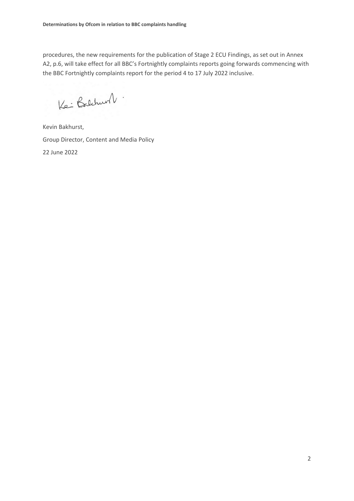procedures, the new requirements for the publication of Stage 2 ECU Findings, as set out in Annex A2, p.6, will take effect for all BBC's Fortnightly complaints reports going forwards commencing with the BBC Fortnightly complaints report for the period 4 to 17 July 2022 inclusive.

Ke : Balchurt .

Kevin Bakhurst, Group Director, Content and Media Policy 22 June 2022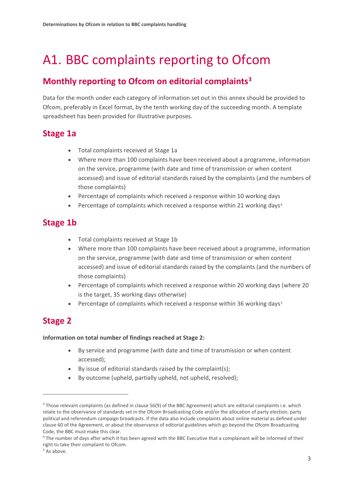# A1. BBC complaints reporting to Ofcom

## **Monthly reporting to Ofcom on editorial complaints[3](#page-3-0)**

Data for the month under each category of information set out in this annex should be provided to Ofcom, preferably in Excel format, by the tenth working day of the succeeding month. A template spreadsheet has been provided for illustrative purposes.

## **Stage 1a**

- Total complaints received at Stage 1a
- Where more than 100 complaints have been received about a programme, information on the service, programme (with date and time of transmission or when content accessed) and issue of editorial standards raised by the complaints (and the numbers of those complaints)
- Percentage of complaints which received a response within 10 working days
- Percentage of complaints which received a response within 21 working days[4](#page-3-1)

## **Stage 1b**

- Total complaints received at Stage 1b
- Where more than 100 complaints have been received about a programme, information on the service, programme (with date and time of transmission or when content accessed) and issue of editorial standards raised by the complaints (and the numbers of those complaints)
- Percentage of complaints which received a response within 20 working days (where 20 is the target, 35 working days otherwise)
- Percentage of complaints which received a response within 36 working days<sup>[5](#page-3-2)</sup>

# **Stage 2**

#### **Information on total number of findings reached at Stage 2:**

- By service and programme (with date and time of transmission or when content accessed);
- By issue of editorial standards raised by the complaint(s);
- By outcome (upheld, partially upheld, not upheld, resolved);

<span id="page-3-0"></span><sup>3</sup> Those relevant complaints (as defined in clause 56(9) of the BBC Agreement) which are editorial complaints i.e. which relate to the observance of standards set in the Ofcom Broadcasting Code and/or the allocation of party election, party political and referendum campaign broadcasts. If the data also include complaints about online material as defined under clause 60 of the Agreement, or about the observance of editorial guidelines which go beyond the Ofcom Broadcasting Code, the BBC must make this clear.

<span id="page-3-1"></span><sup>4</sup> The number of days after which it has been agreed with the BBC Executive that a complainant will be informed of their right to take their complaint to Ofcom.

<span id="page-3-2"></span><sup>&</sup>lt;sup>5</sup> As above.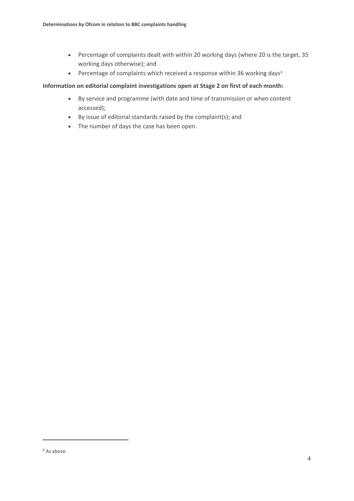- Percentage of complaints dealt with within 20 working days (where 20 is the target, 35 working days otherwise); and
- Percentage of complaints which received a response within 3[6](#page-4-0) working days<sup>6</sup>

#### **Information on editorial complaint investigations open at Stage 2 on first of each month:**

- By service and programme (with date and time of transmission or when content accessed);
- By issue of editorial standards raised by the complaint(s); and
- The number of days the case has been open.

<span id="page-4-0"></span><sup>&</sup>lt;sup>6</sup> As above.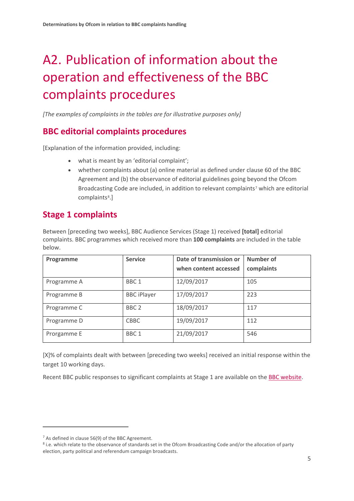# A2. Publication of information about the operation and effectiveness of the BBC complaints procedures

*[The examples of complaints in the tables are for illustrative purposes only]*

## **BBC editorial complaints procedures**

[Explanation of the information provided, including:

- what is meant by an 'editorial complaint';
- whether complaints about (a) online material as defined under clause 60 of the BBC Agreement and (b) the observance of editorial guidelines going beyond the Ofcom Broadcasting Code are included, in addition to relevant complaints<sup>[7](#page-5-0)</sup> which are editorial complaints<sup>[8](#page-5-1)</sup>.]

## **Stage 1 complaints**

Between [preceding two weeks], BBC Audience Services (Stage 1) received **[total]** editorial complaints. BBC programmes which received more than **100 complaints** are included in the table below.

| Programme   | <b>Service</b>     | Date of transmission or<br>when content accessed | Number of<br>complaints |
|-------------|--------------------|--------------------------------------------------|-------------------------|
| Programme A | BBC <sub>1</sub>   | 12/09/2017                                       | 105                     |
| Programme B | <b>BBC</b> iPlayer | 17/09/2017                                       | 223                     |
| Programme C | BBC <sub>2</sub>   | 18/09/2017                                       | 117                     |
| Programme D | <b>CBBC</b>        | 19/09/2017                                       | 112                     |
| Prorgamme E | BBC <sub>1</sub>   | 21/09/2017                                       | 546                     |

[X]% of complaints dealt with between [preceding two weeks] received an initial response within the target 10 working days.

Recent BBC public responses to significant complaints at Stage 1 are available on the BBC [website.](http://www.bbc.co.uk/complaints/complaint/)

<span id="page-5-0"></span> $<sup>7</sup>$  As defined in clause 56(9) of the BBC Agreement.</sup>

<span id="page-5-1"></span><sup>&</sup>lt;sup>8</sup> i.e. which relate to the observance of standards set in the Ofcom Broadcasting Code and/or the allocation of party election, party political and referendum campaign broadcasts.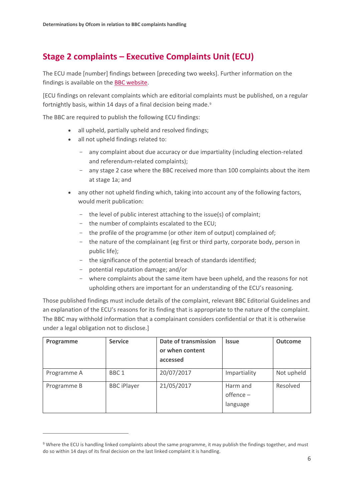## **Stage 2 complaints – Executive Complaints Unit (ECU)**

The ECU made [number] findings between [preceding two weeks]. Further information on the findings is available on th[e BBC website.](http://www.bbc.co.uk/complaints/comp-reports/ecu/)

[ECU findings on relevant complaints which are editorial complaints must be published, on a regular fortnightly basis, within 14 days of a final decision being made.<sup>[9](#page-6-0)</sup>

The BBC are required to publish the following ECU findings:

- all upheld, partially upheld and resolved findings;
- all not upheld findings related to:
	- any complaint about due accuracy or due impartiality (including election-related and referendum-related complaints);
	- any stage 2 case where the BBC received more than 100 complaints about the item at stage 1a; and
- any other not upheld finding which, taking into account any of the following factors, would merit publication:
	- the level of public interest attaching to the issue(s) of complaint;
	- the number of complaints escalated to the ECU;
	- the profile of the programme (or other item of output) complained of;
	- the nature of the complainant (eg first or third party, corporate body, person in public life);
	- the significance of the potential breach of standards identified;
	- potential reputation damage; and/or
	- where complaints about the same item have been upheld, and the reasons for not upholding others are important for an understanding of the ECU's reasoning.

Those published findings must include details of the complaint, relevant BBC Editorial Guidelines and an explanation of the ECU's reasons for its finding that is appropriate to the nature of the complaint. The BBC may withhold information that a complainant considers confidential or that it is otherwise under a legal obligation not to disclose.]

| Programme   | <b>Service</b>     | Date of transmission<br>or when content<br>accessed | <b>Issue</b>                        | <b>Outcome</b> |
|-------------|--------------------|-----------------------------------------------------|-------------------------------------|----------------|
| Programme A | BBC <sub>1</sub>   | 20/07/2017                                          | Impartiality                        | Not upheld     |
| Programme B | <b>BBC</b> iPlayer | 21/05/2017                                          | Harm and<br>$offence -$<br>language | Resolved       |

<span id="page-6-0"></span><sup>&</sup>lt;sup>9</sup> Where the ECU is handling linked complaints about the same programme, it may publish the findings together, and must do so within 14 days of its final decision on the last linked complaint it is handling.